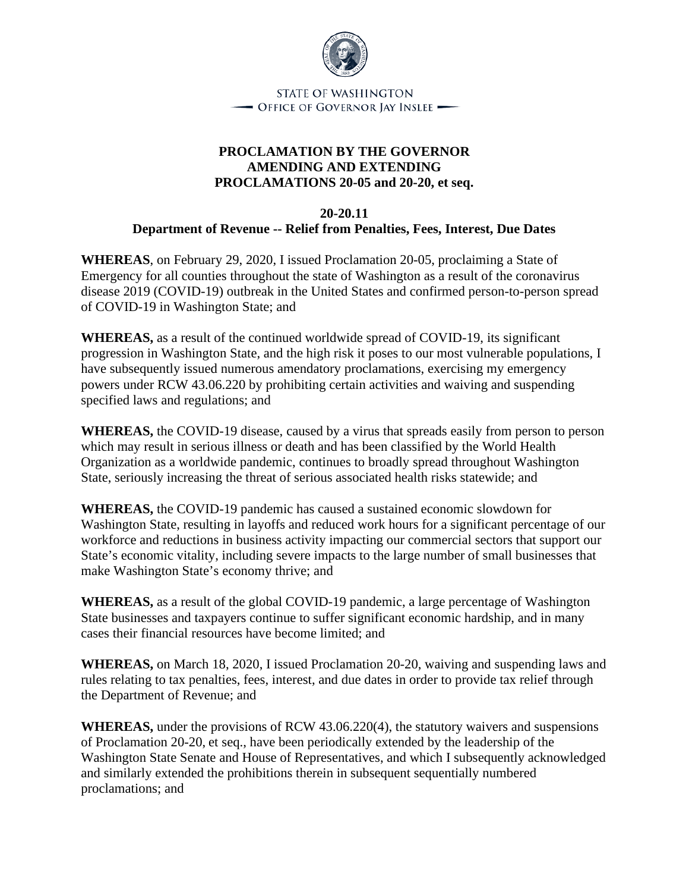

## **PROCLAMATION BY THE GOVERNOR AMENDING AND EXTENDING PROCLAMATIONS 20-05 and 20-20, et seq.**

## **20-20.11**

**Department of Revenue -- Relief from Penalties, Fees, Interest, Due Dates**

**WHEREAS**, on February 29, 2020, I issued Proclamation 20-05, proclaiming a State of Emergency for all counties throughout the state of Washington as a result of the coronavirus disease 2019 (COVID-19) outbreak in the United States and confirmed person-to-person spread of COVID-19 in Washington State; and

**WHEREAS,** as a result of the continued worldwide spread of COVID-19, its significant progression in Washington State, and the high risk it poses to our most vulnerable populations, I have subsequently issued numerous amendatory proclamations, exercising my emergency powers under RCW 43.06.220 by prohibiting certain activities and waiving and suspending specified laws and regulations; and

**WHEREAS,** the COVID-19 disease, caused by a virus that spreads easily from person to person which may result in serious illness or death and has been classified by the World Health Organization as a worldwide pandemic, continues to broadly spread throughout Washington State, seriously increasing the threat of serious associated health risks statewide; and

**WHEREAS,** the COVID-19 pandemic has caused a sustained economic slowdown for Washington State, resulting in layoffs and reduced work hours for a significant percentage of our workforce and reductions in business activity impacting our commercial sectors that support our State's economic vitality, including severe impacts to the large number of small businesses that make Washington State's economy thrive; and

**WHEREAS,** as a result of the global COVID-19 pandemic, a large percentage of Washington State businesses and taxpayers continue to suffer significant economic hardship, and in many cases their financial resources have become limited; and

**WHEREAS,** on March 18, 2020, I issued Proclamation 20-20, waiving and suspending laws and rules relating to tax penalties, fees, interest, and due dates in order to provide tax relief through the Department of Revenue; and

**WHEREAS,** under the provisions of RCW 43.06.220(4), the statutory waivers and suspensions of Proclamation 20-20, et seq., have been periodically extended by the leadership of the Washington State Senate and House of Representatives, and which I subsequently acknowledged and similarly extended the prohibitions therein in subsequent sequentially numbered proclamations; and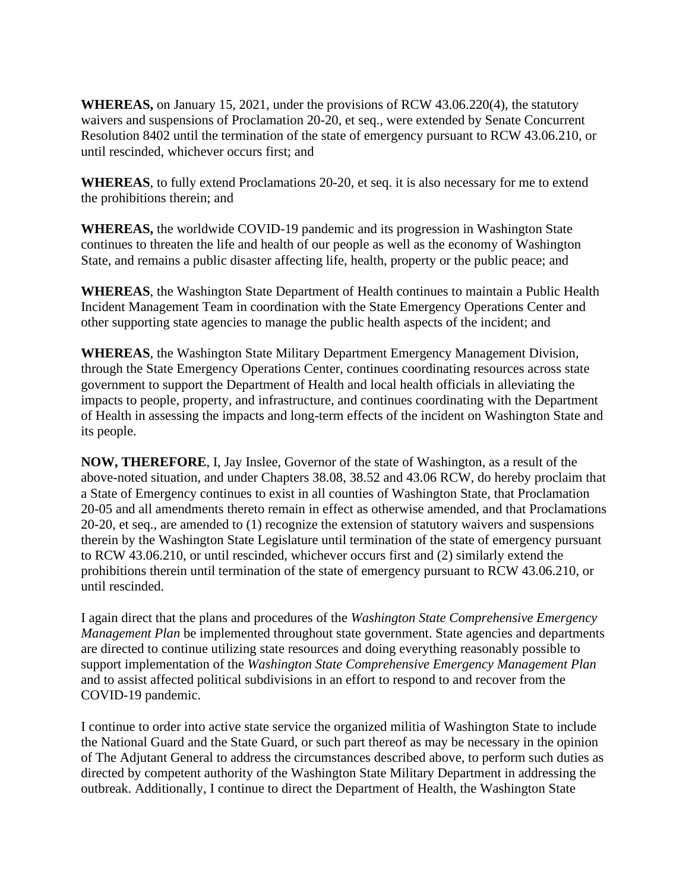**WHEREAS,** on January 15, 2021, under the provisions of RCW 43.06.220(4), the statutory waivers and suspensions of Proclamation 20-20, et seq., were extended by Senate Concurrent Resolution 8402 until the termination of the state of emergency pursuant to RCW 43.06.210, or until rescinded, whichever occurs first; and

**WHEREAS**, to fully extend Proclamations 20-20, et seq. it is also necessary for me to extend the prohibitions therein; and

**WHEREAS,** the worldwide COVID-19 pandemic and its progression in Washington State continues to threaten the life and health of our people as well as the economy of Washington State, and remains a public disaster affecting life, health, property or the public peace; and

**WHEREAS**, the Washington State Department of Health continues to maintain a Public Health Incident Management Team in coordination with the State Emergency Operations Center and other supporting state agencies to manage the public health aspects of the incident; and

**WHEREAS**, the Washington State Military Department Emergency Management Division, through the State Emergency Operations Center, continues coordinating resources across state government to support the Department of Health and local health officials in alleviating the impacts to people, property, and infrastructure, and continues coordinating with the Department of Health in assessing the impacts and long-term effects of the incident on Washington State and its people.

**NOW, THEREFORE**, I, Jay Inslee, Governor of the state of Washington, as a result of the above-noted situation, and under Chapters 38.08, 38.52 and 43.06 RCW, do hereby proclaim that a State of Emergency continues to exist in all counties of Washington State, that Proclamation 20-05 and all amendments thereto remain in effect as otherwise amended, and that Proclamations 20-20, et seq., are amended to (1) recognize the extension of statutory waivers and suspensions therein by the Washington State Legislature until termination of the state of emergency pursuant to RCW 43.06.210, or until rescinded, whichever occurs first and (2) similarly extend the prohibitions therein until termination of the state of emergency pursuant to RCW 43.06.210, or until rescinded.

I again direct that the plans and procedures of the *Washington State Comprehensive Emergency Management Plan* be implemented throughout state government. State agencies and departments are directed to continue utilizing state resources and doing everything reasonably possible to support implementation of the *Washington State Comprehensive Emergency Management Plan* and to assist affected political subdivisions in an effort to respond to and recover from the COVID-19 pandemic.

I continue to order into active state service the organized militia of Washington State to include the National Guard and the State Guard, or such part thereof as may be necessary in the opinion of The Adjutant General to address the circumstances described above, to perform such duties as directed by competent authority of the Washington State Military Department in addressing the outbreak. Additionally, I continue to direct the Department of Health, the Washington State